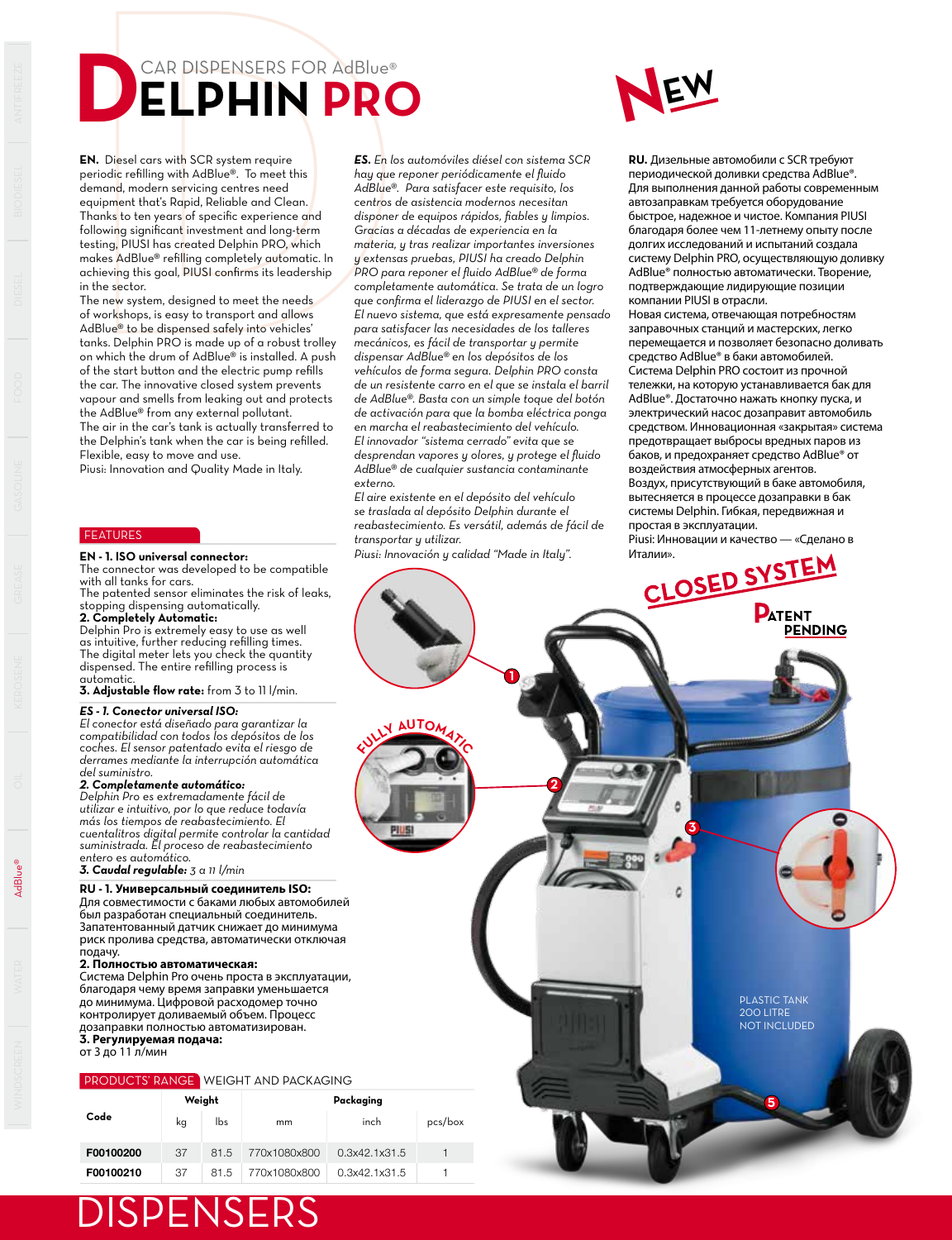# CAR DISPENSERS FOR AdBlue® **DELPHIN PRO**

**NEW**

**EN.** Diesel cars with SCR system require periodic refilling with AdBlue®. To meet this demand, modern servicing centres need equipment that's Rapid, Reliable and Clean. Thanks to ten years of specific experience and following significant investment and long-term testing, PIUSI has created Delphin PRO, which makes AdBlue® refilling completely automatic. In achieving this goal, PIUSI confirms its leadership in the sector.

The new system, designed to meet the needs of workshops, is easy to transport and allows AdBlue® to be dispensed safely into vehicles' tanks. Delphin PRO is made up of a robust trolley on which the drum of AdBlue® is installed. A push of the start button and the electric pump refills the car. The innovative closed system prevents vapour and smells from leaking out and protects the AdBlue® from any external pollutant. The air in the car's tank is actually transferred to the Delphin's tank when the car is being refilled. Flexible, easy to move and use.

Piusi: Innovation and Quality Made in Italy.

### **FEATURES**

The connector was developed to be compatible with all tanks for cars. The patented sensor eliminates the risk of leaks,

stopping dispensing automatically. **2. Completely Automatic:**

Delphin Pro is extremely easy to use as well as intuitive, further reducing refilling times. The digital meter lets you check the quantity dispensed. The entire refilling process is automatic.

**3. Adjustable flow rate:** from 3 to 11 l/min.

#### *ES - 1. Conector universal ISO:*

*El conector está diseñado para garantizar la compatibilidad con todos los depósitos de los coches. El sensor patentado evita el riesgo de derrames mediante la interrupción automática del suministro.* 

### *2. Completamente automático:*

*Delphin Pro es extremadamente fácil de utilizar e intuitivo, por lo que reduce todavía más los tiempos de reabastecimiento. El cuentalitros digital permite controlar la cantidad suministrada. El proceso de reabastecimiento entero es automático.*

*3. Caudal regulable: 3 a 11 l/min*

#### **RU - 1. Универсальный соединитель ISO:**

Для совместимости с баками любых автомобилей был разработан специальный соединитель. Запатентованный датчик снижает до минимума риск пролива средства, автоматически отключая

# подачу. **2. Полностью автоматическая:**

Система Delphin Pro очень проста в эксплуатации, благодаря чему время заправки уменьшается до минимума. Цифровой расходомер точно контролирует доливаемый объем. Процесс дозаправки полностью автоматизирован. **3. Регулируемая подача:**

от 3 до 11 л/мин

#### PRODUCTS' RANGE WEIGHT AND PACKAGING

**DISPENSERS** 

| Code      | Weight |      | Packaging    |               |         |  |  |  |
|-----------|--------|------|--------------|---------------|---------|--|--|--|
|           | kq     | lbs  | mm           | inch          | pcs/box |  |  |  |
| F00100200 | 37     | 81.5 | 770x1080x800 | 0.3x42.1x31.5 |         |  |  |  |
| F00100210 | 37     | 81.5 | 770x1080x800 | 0.3x42.1x31.5 |         |  |  |  |

*ES. En los automóviles diésel con sistema SCR hay que reponer periódicamente el fluido AdBlue®. Para satisfacer este requisito, los centros de asistencia modernos necesitan disponer de equipos rápidos, fiables y limpios. Gracias a décadas de experiencia en la materia, y tras realizar importantes inversiones y extensas pruebas, PIUSI ha creado Delphin PRO para reponer el fluido AdBlue® de forma completamente automática. Se trata de un logro que confirma el liderazgo de PIUSI en el sector. El nuevo sistema, que está expresamente pensado para satisfacer las necesidades de los talleres mecánicos, es fácil de transportar y permite dispensar AdBlue® en los depósitos de los vehículos de forma segura. Delphin PRO consta de un resistente carro en el que se instala el barril de AdBlue®. Basta con un simple toque del botón de activación para que la bomba eléctrica ponga en marcha el reabastecimiento del vehículo. El innovador "sistema cerrado" evita que se desprendan vapores y olores, y protege el fluido AdBlue® de cualquier sustancia contaminante externo.*

*El aire existente en el depósito del vehículo se traslada al depósito Delphin durante el reabastecimiento. Es versátil, además de fácil de transportar y utilizar.*

**RU.** Дизельные автомобили с SCR требуют периодической доливки средства AdBlue®. Для выполнения данной работы современным автозаправкам требуется оборудование быстрое, надежное и чистое. Компания PIUSI благодаря более чем 11-летнему опыту после долгих исследований и испытаний создала систему Delphin PRO, осуществляющую доливку AdBlue® полностью автоматически. Творение, подтверждающие лидирующие позиции компании PIUSI в отрасли.

Новая система, отвечающая потребностям заправочных станций и мастерских, легко перемещается и позволяет безопасно доливать средство AdBlue® в баки автомобилей. Система Delphin PRO состоит из прочной тележки, на которую устанавливается бак для AdBlue®. Достаточно нажать кнопку пуска, и электрический насос дозаправит автомобиль средством. Инновационная «закрытая» система предотвращает выбросы вредных паров из баков, и предохраняет средство AdBlue® от воздействия атмосферных агентов. Воздух, присутствующий в баке автомобиля, вытесняется в процессе дозаправки в бак системы Delphin. Гибкая, передвижная и простая в эксплуатации.



WINDSCREEN WATER AD OOD DIE DIESEL GOOD DIE DIESEL WATER OOR DIE DIESEL DIE DIE DIE DIE DIESEL DIESEL DIESEL DIESEL DIESEL DIESEL DIESEL DIESEL DIE DIESEL DIE DIESEL DIE DIESEL DIE DIESEL DIESEL DIESEL DIESEL DIE DIESEL DI

AdBlue®